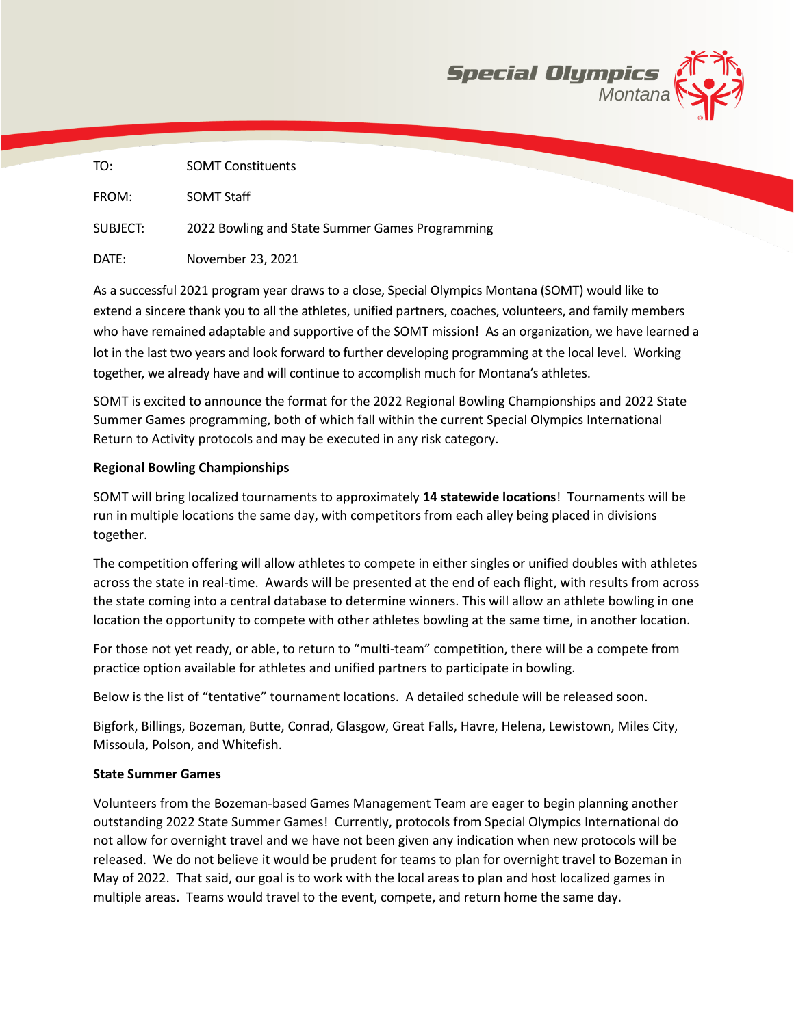

| TO:      | <b>SOMT Constituents</b>                        |
|----------|-------------------------------------------------|
| FROM:    | <b>SOMT Staff</b>                               |
| SUBJECT: | 2022 Bowling and State Summer Games Programming |
| DATE:    | November 23, 2021                               |

As a successful 2021 program year draws to a close, Special Olympics Montana (SOMT) would like to extend a sincere thank you to all the athletes, unified partners, coaches, volunteers, and family members who have remained adaptable and supportive of the SOMT mission! As an organization, we have learned a lot in the last two years and look forward to further developing programming at the local level. Working together, we already have and will continue to accomplish much for Montana's athletes.

SOMT is excited to announce the format for the 2022 Regional Bowling Championships and 2022 State Summer Games programming, both of which fall within the current Special Olympics International Return to Activity protocols and may be executed in any risk category.

## **Regional Bowling Championships**

SOMT will bring localized tournaments to approximately **14 statewide locations**! Tournaments will be run in multiple locations the same day, with competitors from each alley being placed in divisions together.

The competition offering will allow athletes to compete in either singles or unified doubles with athletes across the state in real-time. Awards will be presented at the end of each flight, with results from across the state coming into a central database to determine winners. This will allow an athlete bowling in one location the opportunity to compete with other athletes bowling at the same time, in another location.

For those not yet ready, or able, to return to "multi-team" competition, there will be a compete from practice option available for athletes and unified partners to participate in bowling.

Below is the list of "tentative" tournament locations. A detailed schedule will be released soon.

Bigfork, Billings, Bozeman, Butte, Conrad, Glasgow, Great Falls, Havre, Helena, Lewistown, Miles City, Missoula, Polson, and Whitefish.

## **State Summer Games**

Volunteers from the Bozeman-based Games Management Team are eager to begin planning another outstanding 2022 State Summer Games! Currently, protocols from Special Olympics International do not allow for overnight travel and we have not been given any indication when new protocols will be released. We do not believe it would be prudent for teams to plan for overnight travel to Bozeman in May of 2022. That said, our goal is to work with the local areas to plan and host localized games in multiple areas. Teams would travel to the event, compete, and return home the same day.